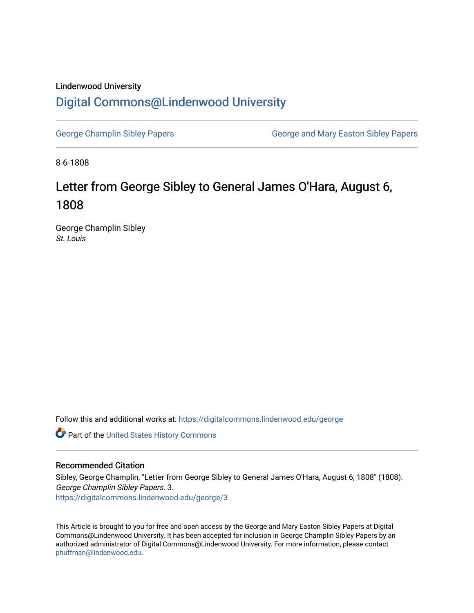## Lindenwood University

## [Digital Commons@Lindenwood University](https://digitalcommons.lindenwood.edu/)

[George Champlin Sibley Papers](https://digitalcommons.lindenwood.edu/george) George and Mary Easton Sibley Papers

8-6-1808

## Letter from George Sibley to General James O'Hara, August 6, 1808

George Champlin Sibley St. Louis

Follow this and additional works at: [https://digitalcommons.lindenwood.edu/george](https://digitalcommons.lindenwood.edu/george?utm_source=digitalcommons.lindenwood.edu%2Fgeorge%2F3&utm_medium=PDF&utm_campaign=PDFCoverPages)

Part of the [United States History Commons](http://network.bepress.com/hgg/discipline/495?utm_source=digitalcommons.lindenwood.edu%2Fgeorge%2F3&utm_medium=PDF&utm_campaign=PDFCoverPages) 

## Recommended Citation

Sibley, George Champlin, "Letter from George Sibley to General James O'Hara, August 6, 1808" (1808). George Champlin Sibley Papers. 3. [https://digitalcommons.lindenwood.edu/george/3](https://digitalcommons.lindenwood.edu/george/3?utm_source=digitalcommons.lindenwood.edu%2Fgeorge%2F3&utm_medium=PDF&utm_campaign=PDFCoverPages)

This Article is brought to you for free and open access by the George and Mary Easton Sibley Papers at Digital Commons@Lindenwood University. It has been accepted for inclusion in George Champlin Sibley Papers by an authorized administrator of Digital Commons@Lindenwood University. For more information, please contact [phuffman@lindenwood.edu](mailto:phuffman@lindenwood.edu).